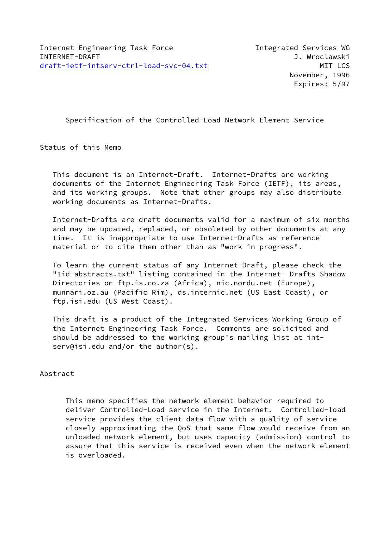Specification of the Controlled-Load Network Element Service

Status of this Memo

 This document is an Internet-Draft. Internet-Drafts are working documents of the Internet Engineering Task Force (IETF), its areas, and its working groups. Note that other groups may also distribute working documents as Internet-Drafts.

 Internet-Drafts are draft documents valid for a maximum of six months and may be updated, replaced, or obsoleted by other documents at any time. It is inappropriate to use Internet-Drafts as reference material or to cite them other than as "work in progress".

 To learn the current status of any Internet-Draft, please check the "1id-abstracts.txt" listing contained in the Internet- Drafts Shadow Directories on ftp.is.co.za (Africa), nic.nordu.net (Europe), munnari.oz.au (Pacific Rim), ds.internic.net (US East Coast), or ftp.isi.edu (US West Coast).

 This draft is a product of the Integrated Services Working Group of the Internet Engineering Task Force. Comments are solicited and should be addressed to the working group's mailing list at int serv@isi.edu and/or the author(s).

Abstract

 This memo specifies the network element behavior required to deliver Controlled-Load service in the Internet. Controlled-load service provides the client data flow with a quality of service closely approximating the QoS that same flow would receive from an unloaded network element, but uses capacity (admission) control to assure that this service is received even when the network element is overloaded.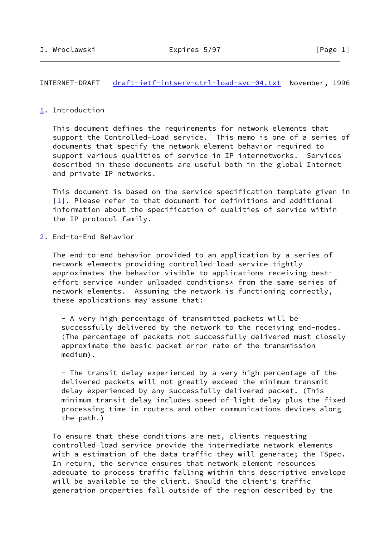# INTERNET-DRAFT [draft-ietf-intserv-ctrl-load-svc-04.txt](https://datatracker.ietf.org/doc/pdf/draft-ietf-intserv-ctrl-load-svc-04.txt) November, 1996

### <span id="page-1-0"></span>[1](#page-1-0). Introduction

 This document defines the requirements for network elements that support the Controlled-Load service. This memo is one of a series of documents that specify the network element behavior required to support various qualities of service in IP internetworks. Services described in these documents are useful both in the global Internet and private IP networks.

 This document is based on the service specification template given in  $[1]$  $[1]$ . Please refer to that document for definitions and additional information about the specification of qualities of service within the IP protocol family.

<span id="page-1-1"></span>[2](#page-1-1). End-to-End Behavior

 The end-to-end behavior provided to an application by a series of network elements providing controlled-load service tightly approximates the behavior visible to applications receiving best effort service \*under unloaded conditions\* from the same series of network elements. Assuming the network is functioning correctly, these applications may assume that:

 - A very high percentage of transmitted packets will be successfully delivered by the network to the receiving end-nodes. (The percentage of packets not successfully delivered must closely approximate the basic packet error rate of the transmission medium).

 - The transit delay experienced by a very high percentage of the delivered packets will not greatly exceed the minimum transmit delay experienced by any successfully delivered packet. (This minimum transit delay includes speed-of-light delay plus the fixed processing time in routers and other communications devices along the path.)

 To ensure that these conditions are met, clients requesting controlled-load service provide the intermediate network elements with a estimation of the data traffic they will generate; the TSpec. In return, the service ensures that network element resources adequate to process traffic falling within this descriptive envelope will be available to the client. Should the client's traffic generation properties fall outside of the region described by the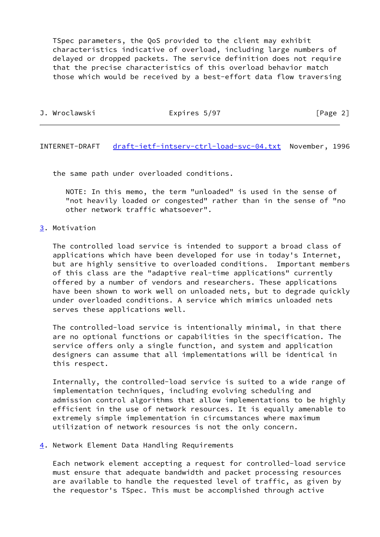TSpec parameters, the QoS provided to the client may exhibit characteristics indicative of overload, including large numbers of delayed or dropped packets. The service definition does not require that the precise characteristics of this overload behavior match those which would be received by a best-effort data flow traversing

| Expires 5/97<br>[Page 2]<br>J. Wroclawski |  |
|-------------------------------------------|--|
|-------------------------------------------|--|

INTERNET-DRAFT [draft-ietf-intserv-ctrl-load-svc-04.txt](https://datatracker.ietf.org/doc/pdf/draft-ietf-intserv-ctrl-load-svc-04.txt) November, 1996

the same path under overloaded conditions.

 NOTE: In this memo, the term "unloaded" is used in the sense of "not heavily loaded or congested" rather than in the sense of "no other network traffic whatsoever".

## <span id="page-2-0"></span>[3](#page-2-0). Motivation

 The controlled load service is intended to support a broad class of applications which have been developed for use in today's Internet, but are highly sensitive to overloaded conditions. Important members of this class are the "adaptive real-time applications" currently offered by a number of vendors and researchers. These applications have been shown to work well on unloaded nets, but to degrade quickly under overloaded conditions. A service which mimics unloaded nets serves these applications well.

 The controlled-load service is intentionally minimal, in that there are no optional functions or capabilities in the specification. The service offers only a single function, and system and application designers can assume that all implementations will be identical in this respect.

 Internally, the controlled-load service is suited to a wide range of implementation techniques, including evolving scheduling and admission control algorithms that allow implementations to be highly efficient in the use of network resources. It is equally amenable to extremely simple implementation in circumstances where maximum utilization of network resources is not the only concern.

<span id="page-2-1"></span>[4](#page-2-1). Network Element Data Handling Requirements

 Each network element accepting a request for controlled-load service must ensure that adequate bandwidth and packet processing resources are available to handle the requested level of traffic, as given by the requestor's TSpec. This must be accomplished through active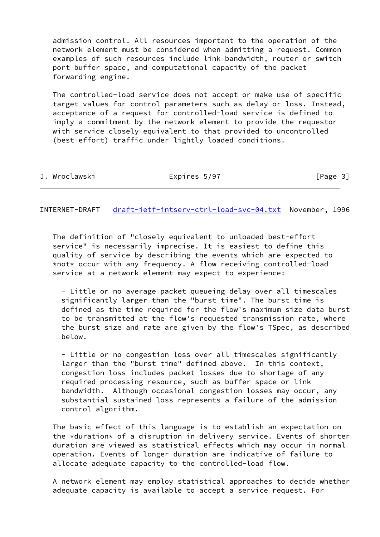admission control. All resources important to the operation of the network element must be considered when admitting a request. Common examples of such resources include link bandwidth, router or switch port buffer space, and computational capacity of the packet forwarding engine.

 The controlled-load service does not accept or make use of specific target values for control parameters such as delay or loss. Instead, acceptance of a request for controlled-load service is defined to imply a commitment by the network element to provide the requestor with service closely equivalent to that provided to uncontrolled (best-effort) traffic under lightly loaded conditions.

| J. Wroclawski | Expires 5/97 | [Page 3] |
|---------------|--------------|----------|
|---------------|--------------|----------|

INTERNET-DRAFT [draft-ietf-intserv-ctrl-load-svc-04.txt](https://datatracker.ietf.org/doc/pdf/draft-ietf-intserv-ctrl-load-svc-04.txt) November, 1996

 The definition of "closely equivalent to unloaded best-effort service" is necessarily imprecise. It is easiest to define this quality of service by describing the events which are expected to \*not\* occur with any frequency. A flow receiving controlled-load service at a network element may expect to experience:

 - Little or no average packet queueing delay over all timescales significantly larger than the "burst time". The burst time is defined as the time required for the flow's maximum size data burst to be transmitted at the flow's requested transmission rate, where the burst size and rate are given by the flow's TSpec, as described below.

 - Little or no congestion loss over all timescales significantly larger than the "burst time" defined above. In this context, congestion loss includes packet losses due to shortage of any required processing resource, such as buffer space or link bandwidth. Although occasional congestion losses may occur, any substantial sustained loss represents a failure of the admission control algorithm.

 The basic effect of this language is to establish an expectation on the \*duration\* of a disruption in delivery service. Events of shorter duration are viewed as statistical effects which may occur in normal operation. Events of longer duration are indicative of failure to allocate adequate capacity to the controlled-load flow.

 A network element may employ statistical approaches to decide whether adequate capacity is available to accept a service request. For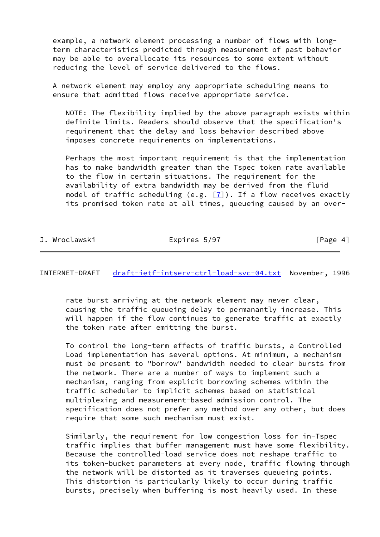example, a network element processing a number of flows with long term characteristics predicted through measurement of past behavior may be able to overallocate its resources to some extent without reducing the level of service delivered to the flows.

 A network element may employ any appropriate scheduling means to ensure that admitted flows receive appropriate service.

 NOTE: The flexibility implied by the above paragraph exists within definite limits. Readers should observe that the specification's requirement that the delay and loss behavior described above imposes concrete requirements on implementations.

 Perhaps the most important requirement is that the implementation has to make bandwidth greater than the Tspec token rate available to the flow in certain situations. The requirement for the availability of extra bandwidth may be derived from the fluid model of traffic scheduling (e.g.  $[7]$ ). If a flow receives exactly its promised token rate at all times, queueing caused by an over-

| J. | Wroclawski |
|----|------------|

Expires 5/97 [Page 4]

INTERNET-DRAFT [draft-ietf-intserv-ctrl-load-svc-04.txt](https://datatracker.ietf.org/doc/pdf/draft-ietf-intserv-ctrl-load-svc-04.txt) November, 1996

 rate burst arriving at the network element may never clear, causing the traffic queueing delay to permanantly increase. This will happen if the flow continues to generate traffic at exactly the token rate after emitting the burst.

 To control the long-term effects of traffic bursts, a Controlled Load implementation has several options. At minimum, a mechanism must be present to "borrow" bandwidth needed to clear bursts from the network. There are a number of ways to implement such a mechanism, ranging from explicit borrowing schemes within the traffic scheduler to implicit schemes based on statistical multiplexing and measurement-based admission control. The specification does not prefer any method over any other, but does require that some such mechanism must exist.

 Similarly, the requirement for low congestion loss for in-Tspec traffic implies that buffer management must have some flexibility. Because the controlled-load service does not reshape traffic to its token-bucket parameters at every node, traffic flowing through the network will be distorted as it traverses queueing points. This distortion is particularly likely to occur during traffic bursts, precisely when buffering is most heavily used. In these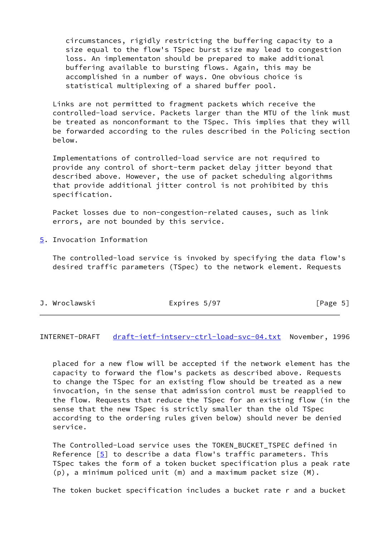circumstances, rigidly restricting the buffering capacity to a size equal to the flow's TSpec burst size may lead to congestion loss. An implementaton should be prepared to make additional buffering available to bursting flows. Again, this may be accomplished in a number of ways. One obvious choice is statistical multiplexing of a shared buffer pool.

 Links are not permitted to fragment packets which receive the controlled-load service. Packets larger than the MTU of the link must be treated as nonconformant to the TSpec. This implies that they will be forwarded according to the rules described in the Policing section below.

 Implementations of controlled-load service are not required to provide any control of short-term packet delay jitter beyond that described above. However, the use of packet scheduling algorithms that provide additional jitter control is not prohibited by this specification.

 Packet losses due to non-congestion-related causes, such as link errors, are not bounded by this service.

<span id="page-5-0"></span>[5](#page-5-0). Invocation Information

 The controlled-load service is invoked by specifying the data flow's desired traffic parameters (TSpec) to the network element. Requests

| J. Wroclawski | Expires 5/97 | [Page 5] |
|---------------|--------------|----------|
|---------------|--------------|----------|

INTERNET-DRAFT [draft-ietf-intserv-ctrl-load-svc-04.txt](https://datatracker.ietf.org/doc/pdf/draft-ietf-intserv-ctrl-load-svc-04.txt) November, 1996

 placed for a new flow will be accepted if the network element has the capacity to forward the flow's packets as described above. Requests to change the TSpec for an existing flow should be treated as a new invocation, in the sense that admission control must be reapplied to the flow. Requests that reduce the TSpec for an existing flow (in the sense that the new TSpec is strictly smaller than the old TSpec according to the ordering rules given below) should never be denied service.

 The Controlled-Load service uses the TOKEN\_BUCKET\_TSPEC defined in Reference [[5\]](#page-19-1) to describe a data flow's traffic parameters. This TSpec takes the form of a token bucket specification plus a peak rate (p), a minimum policed unit (m) and a maximum packet size (M).

The token bucket specification includes a bucket rate r and a bucket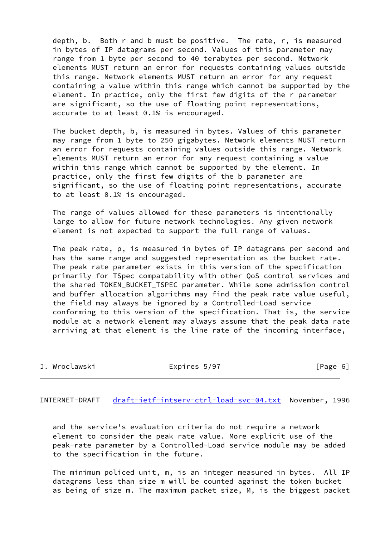depth, b. Both r and b must be positive. The rate, r, is measured in bytes of IP datagrams per second. Values of this parameter may range from 1 byte per second to 40 terabytes per second. Network elements MUST return an error for requests containing values outside this range. Network elements MUST return an error for any request containing a value within this range which cannot be supported by the element. In practice, only the first few digits of the r parameter are significant, so the use of floating point representations, accurate to at least 0.1% is encouraged.

 The bucket depth, b, is measured in bytes. Values of this parameter may range from 1 byte to 250 gigabytes. Network elements MUST return an error for requests containing values outside this range. Network elements MUST return an error for any request containing a value within this range which cannot be supported by the element. In practice, only the first few digits of the b parameter are significant, so the use of floating point representations, accurate to at least 0.1% is encouraged.

 The range of values allowed for these parameters is intentionally large to allow for future network technologies. Any given network element is not expected to support the full range of values.

 The peak rate, p, is measured in bytes of IP datagrams per second and has the same range and suggested representation as the bucket rate. The peak rate parameter exists in this version of the specification primarily for TSpec compatability with other QoS control services and the shared TOKEN\_BUCKET\_TSPEC parameter. While some admission control and buffer allocation algorithms may find the peak rate value useful, the field may always be ignored by a Controlled-Load service conforming to this version of the specification. That is, the service module at a network element may always assume that the peak data rate arriving at that element is the line rate of the incoming interface,

| J. Wroclawski | Expires 5/97 | [Page 6] |
|---------------|--------------|----------|
|               |              |          |

INTERNET-DRAFT [draft-ietf-intserv-ctrl-load-svc-04.txt](https://datatracker.ietf.org/doc/pdf/draft-ietf-intserv-ctrl-load-svc-04.txt) November, 1996

 and the service's evaluation criteria do not require a network element to consider the peak rate value. More explicit use of the peak-rate parameter by a Controlled-Load service module may be added to the specification in the future.

 The minimum policed unit, m, is an integer measured in bytes. All IP datagrams less than size m will be counted against the token bucket as being of size m. The maximum packet size, M, is the biggest packet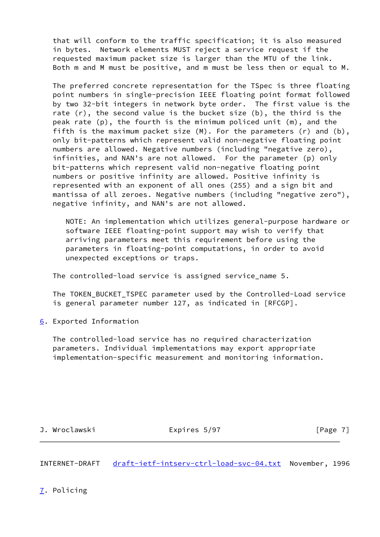that will conform to the traffic specification; it is also measured in bytes. Network elements MUST reject a service request if the requested maximum packet size is larger than the MTU of the link. Both m and M must be positive, and m must be less then or equal to M.

 The preferred concrete representation for the TSpec is three floating point numbers in single-precision IEEE floating point format followed by two 32-bit integers in network byte order. The first value is the rate  $(r)$ , the second value is the bucket size  $(b)$ , the third is the peak rate (p), the fourth is the minimum policed unit (m), and the fifth is the maximum packet size (M). For the parameters (r) and (b), only bit-patterns which represent valid non-negative floating point numbers are allowed. Negative numbers (including "negative zero), infinities, and NAN's are not allowed. For the parameter (p) only bit-patterns which represent valid non-negative floating point numbers or positive infinity are allowed. Positive infinity is represented with an exponent of all ones (255) and a sign bit and mantissa of all zeroes. Negative numbers (including "negative zero"), negative infinity, and NAN's are not allowed.

 NOTE: An implementation which utilizes general-purpose hardware or software IEEE floating-point support may wish to verify that arriving parameters meet this requirement before using the parameters in floating-point computations, in order to avoid unexpected exceptions or traps.

The controlled-load service is assigned service\_name 5.

 The TOKEN\_BUCKET\_TSPEC parameter used by the Controlled-Load service is general parameter number 127, as indicated in [RFCGP].

<span id="page-7-0"></span>[6](#page-7-0). Exported Information

 The controlled-load service has no required characterization parameters. Individual implementations may export appropriate implementation-specific measurement and monitoring information.

J. Wroclawski **Expires 5/97** [Page 7]

INTERNET-DRAFT [draft-ietf-intserv-ctrl-load-svc-04.txt](https://datatracker.ietf.org/doc/pdf/draft-ietf-intserv-ctrl-load-svc-04.txt) November, 1996

<span id="page-7-1"></span>[7](#page-7-1). Policing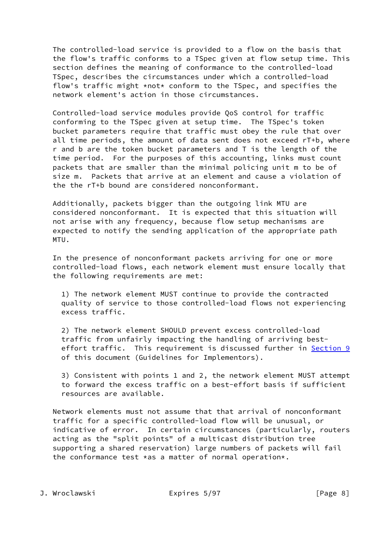The controlled-load service is provided to a flow on the basis that the flow's traffic conforms to a TSpec given at flow setup time. This section defines the meaning of conformance to the controlled-load TSpec, describes the circumstances under which a controlled-load flow's traffic might \*not\* conform to the TSpec, and specifies the network element's action in those circumstances.

 Controlled-load service modules provide QoS control for traffic conforming to the TSpec given at setup time. The TSpec's token bucket parameters require that traffic must obey the rule that over all time periods, the amount of data sent does not exceed rT+b, where r and b are the token bucket parameters and T is the length of the time period. For the purposes of this accounting, links must count packets that are smaller than the minimal policing unit m to be of size m. Packets that arrive at an element and cause a violation of the the rT+b bound are considered nonconformant.

 Additionally, packets bigger than the outgoing link MTU are considered nonconformant. It is expected that this situation will not arise with any frequency, because flow setup mechanisms are expected to notify the sending application of the appropriate path MTU.

 In the presence of nonconformant packets arriving for one or more controlled-load flows, each network element must ensure locally that the following requirements are met:

 1) The network element MUST continue to provide the contracted quality of service to those controlled-load flows not experiencing excess traffic.

 2) The network element SHOULD prevent excess controlled-load traffic from unfairly impacting the handling of arriving best effort traffic. This requirement is discussed further in [Section 9](#page-12-0) of this document (Guidelines for Implementors).

 3) Consistent with points 1 and 2, the network element MUST attempt to forward the excess traffic on a best-effort basis if sufficient resources are available.

 Network elements must not assume that that arrival of nonconformant traffic for a specific controlled-load flow will be unusual, or indicative of error. In certain circumstances (particularly, routers acting as the "split points" of a multicast distribution tree supporting a shared reservation) large numbers of packets will fail the conformance test \*as a matter of normal operation\*.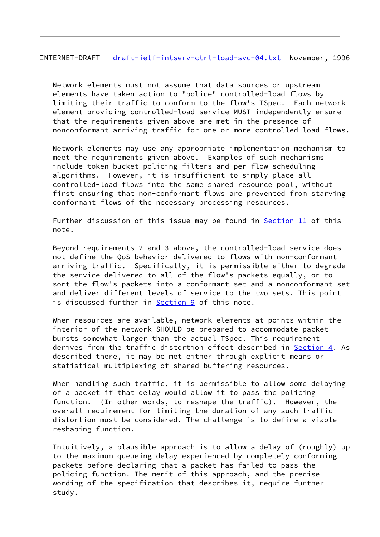# INTERNET-DRAFT [draft-ietf-intserv-ctrl-load-svc-04.txt](https://datatracker.ietf.org/doc/pdf/draft-ietf-intserv-ctrl-load-svc-04.txt) November, 1996

 Network elements must not assume that data sources or upstream elements have taken action to "police" controlled-load flows by limiting their traffic to conform to the flow's TSpec. Each network element providing controlled-load service MUST independently ensure that the requirements given above are met in the presence of nonconformant arriving traffic for one or more controlled-load flows.

 Network elements may use any appropriate implementation mechanism to meet the requirements given above. Examples of such mechanisms include token-bucket policing filters and per-flow scheduling algorithms. However, it is insufficient to simply place all controlled-load flows into the same shared resource pool, without first ensuring that non-conformant flows are prevented from starving conformant flows of the necessary processing resources.

Further discussion of this issue may be found in [Section 11](#page-16-0) of this note.

 Beyond requirements 2 and 3 above, the controlled-load service does not define the QoS behavior delivered to flows with non-conformant arriving traffic. Specifically, it is permissible either to degrade the service delivered to all of the flow's packets equally, or to sort the flow's packets into a conformant set and a nonconformant set and deliver different levels of service to the two sets. This point is discussed further in [Section 9](#page-12-0) of this note.

 When resources are available, network elements at points within the interior of the network SHOULD be prepared to accommodate packet bursts somewhat larger than the actual TSpec. This requirement derives from the traffic distortion effect described in [Section 4](#page-2-1). As described there, it may be met either through explicit means or statistical multiplexing of shared buffering resources.

 When handling such traffic, it is permissible to allow some delaying of a packet if that delay would allow it to pass the policing function. (In other words, to reshape the traffic). However, the overall requirement for limiting the duration of any such traffic distortion must be considered. The challenge is to define a viable reshaping function.

 Intuitively, a plausible approach is to allow a delay of (roughly) up to the maximum queueing delay experienced by completely conforming packets before declaring that a packet has failed to pass the policing function. The merit of this approach, and the precise wording of the specification that describes it, require further study.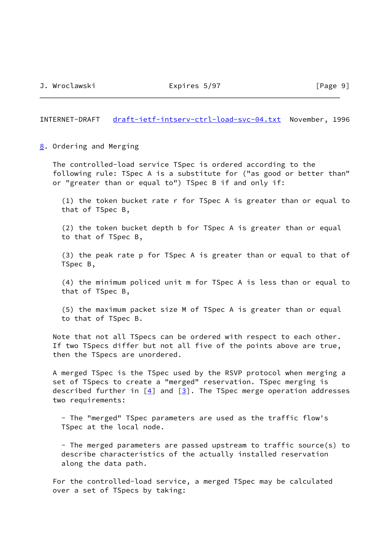INTERNET-DRAFT [draft-ietf-intserv-ctrl-load-svc-04.txt](https://datatracker.ietf.org/doc/pdf/draft-ietf-intserv-ctrl-load-svc-04.txt) November, 1996

<span id="page-10-0"></span>[8](#page-10-0). Ordering and Merging

 The controlled-load service TSpec is ordered according to the following rule: TSpec A is a substitute for ("as good or better than" or "greater than or equal to") TSpec B if and only if:

 (1) the token bucket rate r for TSpec A is greater than or equal to that of TSpec B,

 (2) the token bucket depth b for TSpec A is greater than or equal to that of TSpec B,

 (3) the peak rate p for TSpec A is greater than or equal to that of TSpec B,

 (4) the minimum policed unit m for TSpec A is less than or equal to that of TSpec B,

 (5) the maximum packet size M of TSpec A is greater than or equal to that of TSpec B.

 Note that not all TSpecs can be ordered with respect to each other. If two TSpecs differ but not all five of the points above are true, then the TSpecs are unordered.

 A merged TSpec is the TSpec used by the RSVP protocol when merging a set of TSpecs to create a "merged" reservation. TSpec merging is described further in  $[4]$  and  $[3]$ . The TSpec merge operation addresses two requirements:

 - The "merged" TSpec parameters are used as the traffic flow's TSpec at the local node.

 - The merged parameters are passed upstream to traffic source(s) to describe characteristics of the actually installed reservation along the data path.

 For the controlled-load service, a merged TSpec may be calculated over a set of TSpecs by taking: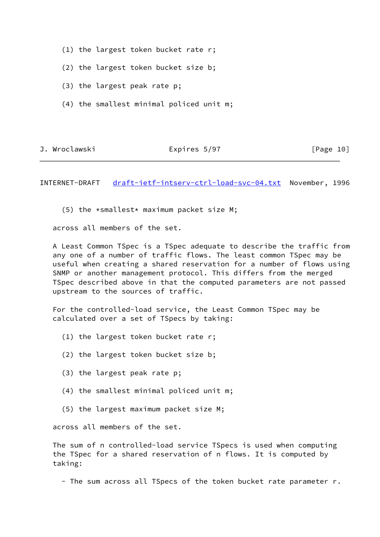- (1) the largest token bucket rate r;
- (2) the largest token bucket size b;
- (3) the largest peak rate p;
- (4) the smallest minimal policed unit m;

J. Wroclawski Expires 5/97 [Page 10]

INTERNET-DRAFT [draft-ietf-intserv-ctrl-load-svc-04.txt](https://datatracker.ietf.org/doc/pdf/draft-ietf-intserv-ctrl-load-svc-04.txt) November, 1996

(5) the  $*$ smallest $*$  maximum packet size M;

across all members of the set.

 A Least Common TSpec is a TSpec adequate to describe the traffic from any one of a number of traffic flows. The least common TSpec may be useful when creating a shared reservation for a number of flows using SNMP or another management protocol. This differs from the merged TSpec described above in that the computed parameters are not passed upstream to the sources of traffic.

 For the controlled-load service, the Least Common TSpec may be calculated over a set of TSpecs by taking:

- (1) the largest token bucket rate r;
- (2) the largest token bucket size b;
- (3) the largest peak rate p;
- (4) the smallest minimal policed unit m;
- (5) the largest maximum packet size M;

across all members of the set.

 The sum of n controlled-load service TSpecs is used when computing the TSpec for a shared reservation of n flows. It is computed by taking:

- The sum across all TSpecs of the token bucket rate parameter r.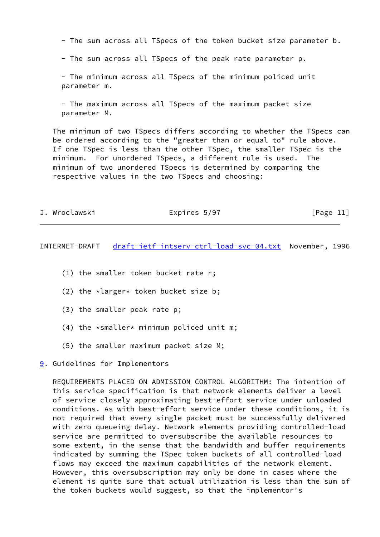- The sum across all TSpecs of the token bucket size parameter b.

- The sum across all TSpecs of the peak rate parameter p.

 - The minimum across all TSpecs of the minimum policed unit parameter m.

 - The maximum across all TSpecs of the maximum packet size parameter M.

 The minimum of two TSpecs differs according to whether the TSpecs can be ordered according to the "greater than or equal to" rule above. If one TSpec is less than the other TSpec, the smaller TSpec is the minimum. For unordered TSpecs, a different rule is used. The minimum of two unordered TSpecs is determined by comparing the respective values in the two TSpecs and choosing:

| J. Wroclawski<br>Expires 5/97 | [Page 11] |
|-------------------------------|-----------|
|-------------------------------|-----------|

INTERNET-DRAFT [draft-ietf-intserv-ctrl-load-svc-04.txt](https://datatracker.ietf.org/doc/pdf/draft-ietf-intserv-ctrl-load-svc-04.txt) November, 1996

- (1) the smaller token bucket rate r;
- (2) the  $*larger*$  token bucket size b;
- (3) the smaller peak rate p;
- $(4)$  the \*smaller\* minimum policed unit m;
- (5) the smaller maximum packet size M;

<span id="page-12-0"></span>[9](#page-12-0). Guidelines for Implementors

 REQUIREMENTS PLACED ON ADMISSION CONTROL ALGORITHM: The intention of this service specification is that network elements deliver a level of service closely approximating best-effort service under unloaded conditions. As with best-effort service under these conditions, it is not required that every single packet must be successfully delivered with zero queueing delay. Network elements providing controlled-load service are permitted to oversubscribe the available resources to some extent, in the sense that the bandwidth and buffer requirements indicated by summing the TSpec token buckets of all controlled-load flows may exceed the maximum capabilities of the network element. However, this oversubscription may only be done in cases where the element is quite sure that actual utilization is less than the sum of the token buckets would suggest, so that the implementor's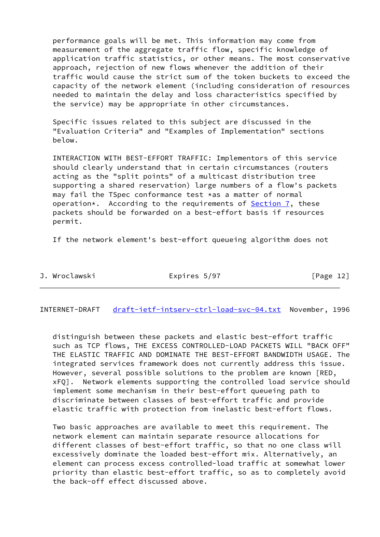performance goals will be met. This information may come from measurement of the aggregate traffic flow, specific knowledge of application traffic statistics, or other means. The most conservative approach, rejection of new flows whenever the addition of their traffic would cause the strict sum of the token buckets to exceed the capacity of the network element (including consideration of resources needed to maintain the delay and loss characteristics specified by the service) may be appropriate in other circumstances.

 Specific issues related to this subject are discussed in the "Evaluation Criteria" and "Examples of Implementation" sections below.

 INTERACTION WITH BEST-EFFORT TRAFFIC: Implementors of this service should clearly understand that in certain circumstances (routers acting as the "split points" of a multicast distribution tree supporting a shared reservation) large numbers of a flow's packets may fail the TSpec conformance test \*as a matter of normal operation\*. According to the requirements of [Section 7,](#page-7-1) these packets should be forwarded on a best-effort basis if resources permit.

If the network element's best-effort queueing algorithm does not

| J. | Wroclawski |  |
|----|------------|--|
|    |            |  |

Expires 5/97 [Page 12]

INTERNET-DRAFT [draft-ietf-intserv-ctrl-load-svc-04.txt](https://datatracker.ietf.org/doc/pdf/draft-ietf-intserv-ctrl-load-svc-04.txt) November, 1996

 distinguish between these packets and elastic best-effort traffic such as TCP flows, THE EXCESS CONTROLLED-LOAD PACKETS WILL "BACK OFF" THE ELASTIC TRAFFIC AND DOMINATE THE BEST-EFFORT BANDWIDTH USAGE. The integrated services framework does not currently address this issue. However, several possible solutions to the problem are known [RED, xFQ]. Network elements supporting the controlled load service should implement some mechanism in their best-effort queueing path to discriminate between classes of best-effort traffic and provide elastic traffic with protection from inelastic best-effort flows.

 Two basic approaches are available to meet this requirement. The network element can maintain separate resource allocations for different classes of best-effort traffic, so that no one class will excessively dominate the loaded best-effort mix. Alternatively, an element can process excess controlled-load traffic at somewhat lower priority than elastic best-effort traffic, so as to completely avoid the back-off effect discussed above.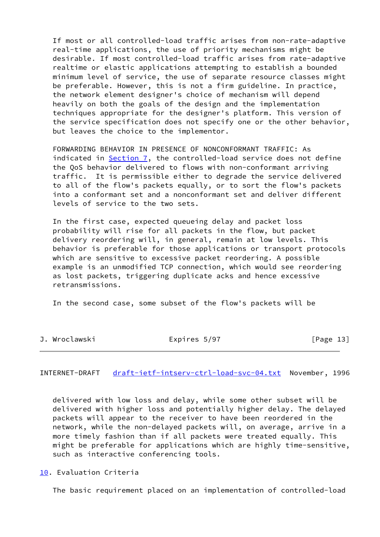If most or all controlled-load traffic arises from non-rate-adaptive real-time applications, the use of priority mechanisms might be desirable. If most controlled-load traffic arises from rate-adaptive realtime or elastic applications attempting to establish a bounded minimum level of service, the use of separate resource classes might be preferable. However, this is not a firm guideline. In practice, the network element designer's choice of mechanism will depend heavily on both the goals of the design and the implementation techniques appropriate for the designer's platform. This version of the service specification does not specify one or the other behavior, but leaves the choice to the implementor.

 FORWARDING BEHAVIOR IN PRESENCE OF NONCONFORMANT TRAFFIC: As indicated in [Section 7](#page-7-1), the controlled-load service does not define the QoS behavior delivered to flows with non-conformant arriving traffic. It is permissible either to degrade the service delivered to all of the flow's packets equally, or to sort the flow's packets into a conformant set and a nonconformant set and deliver different levels of service to the two sets.

 In the first case, expected queueing delay and packet loss probability will rise for all packets in the flow, but packet delivery reordering will, in general, remain at low levels. This behavior is preferable for those applications or transport protocols which are sensitive to excessive packet reordering. A possible example is an unmodified TCP connection, which would see reordering as lost packets, triggering duplicate acks and hence excessive retransmissions.

In the second case, some subset of the flow's packets will be

|  | J. Wroclawski | Expires 5/97 |  |  | [Page 13] |  |  |
|--|---------------|--------------|--|--|-----------|--|--|
|--|---------------|--------------|--|--|-----------|--|--|

INTERNET-DRAFT [draft-ietf-intserv-ctrl-load-svc-04.txt](https://datatracker.ietf.org/doc/pdf/draft-ietf-intserv-ctrl-load-svc-04.txt) November, 1996

 delivered with low loss and delay, while some other subset will be delivered with higher loss and potentially higher delay. The delayed packets will appear to the receiver to have been reordered in the network, while the non-delayed packets will, on average, arrive in a more timely fashion than if all packets were treated equally. This might be preferable for applications which are highly time-sensitive, such as interactive conferencing tools.

<span id="page-14-0"></span>[10.](#page-14-0) Evaluation Criteria

The basic requirement placed on an implementation of controlled-load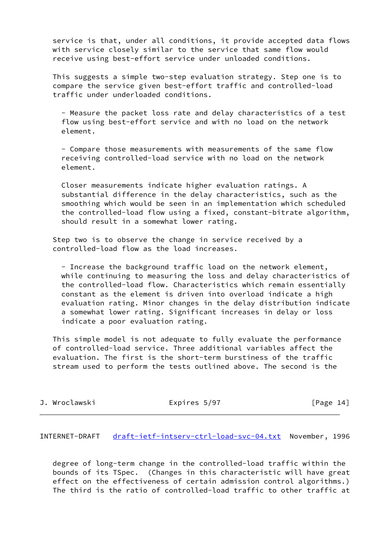service is that, under all conditions, it provide accepted data flows with service closely similar to the service that same flow would receive using best-effort service under unloaded conditions.

 This suggests a simple two-step evaluation strategy. Step one is to compare the service given best-effort traffic and controlled-load traffic under underloaded conditions.

 - Measure the packet loss rate and delay characteristics of a test flow using best-effort service and with no load on the network element.

 - Compare those measurements with measurements of the same flow receiving controlled-load service with no load on the network element.

 Closer measurements indicate higher evaluation ratings. A substantial difference in the delay characteristics, such as the smoothing which would be seen in an implementation which scheduled the controlled-load flow using a fixed, constant-bitrate algorithm, should result in a somewhat lower rating.

 Step two is to observe the change in service received by a controlled-load flow as the load increases.

 - Increase the background traffic load on the network element, while continuing to measuring the loss and delay characteristics of the controlled-load flow. Characteristics which remain essentially constant as the element is driven into overload indicate a high evaluation rating. Minor changes in the delay distribution indicate a somewhat lower rating. Significant increases in delay or loss indicate a poor evaluation rating.

 This simple model is not adequate to fully evaluate the performance of controlled-load service. Three additional variables affect the evaluation. The first is the short-term burstiness of the traffic stream used to perform the tests outlined above. The second is the

J. Wroclawski Expires 5/97 [Page 14]

INTERNET-DRAFT [draft-ietf-intserv-ctrl-load-svc-04.txt](https://datatracker.ietf.org/doc/pdf/draft-ietf-intserv-ctrl-load-svc-04.txt) November, 1996

 degree of long-term change in the controlled-load traffic within the bounds of its TSpec. (Changes in this characteristic will have great effect on the effectiveness of certain admission control algorithms.) The third is the ratio of controlled-load traffic to other traffic at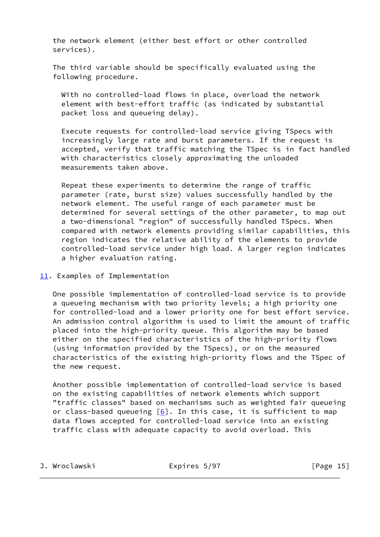the network element (either best effort or other controlled services).

 The third variable should be specifically evaluated using the following procedure.

 With no controlled-load flows in place, overload the network element with best-effort traffic (as indicated by substantial packet loss and queueing delay).

 Execute requests for controlled-load service giving TSpecs with increasingly large rate and burst parameters. If the request is accepted, verify that traffic matching the TSpec is in fact handled with characteristics closely approximating the unloaded measurements taken above.

 Repeat these experiments to determine the range of traffic parameter (rate, burst size) values successfully handled by the network element. The useful range of each parameter must be determined for several settings of the other parameter, to map out a two-dimensional "region" of successfully handled TSpecs. When compared with network elements providing similar capabilities, this region indicates the relative ability of the elements to provide controlled-load service under high load. A larger region indicates a higher evaluation rating.

 One possible implementation of controlled-load service is to provide a queueing mechanism with two priority levels; a high priority one for controlled-load and a lower priority one for best effort service. An admission control algorithm is used to limit the amount of traffic placed into the high-priority queue. This algorithm may be based either on the specified characteristics of the high-priority flows (using information provided by the TSpecs), or on the measured characteristics of the existing high-priority flows and the TSpec of the new request.

 Another possible implementation of controlled-load service is based on the existing capabilities of network elements which support "traffic classes" based on mechanisms such as weighted fair queueing or class-based queueing  $[6]$  $[6]$ . In this case, it is sufficient to map data flows accepted for controlled-load service into an existing traffic class with adequate capacity to avoid overload. This

J. Wroclawski Expires 5/97 [Page 15]

<span id="page-16-0"></span>[<sup>11.</sup>](#page-16-0) Examples of Implementation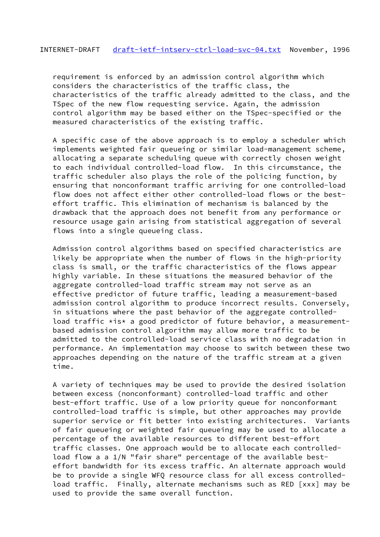requirement is enforced by an admission control algorithm which considers the characteristics of the traffic class, the characteristics of the traffic already admitted to the class, and the TSpec of the new flow requesting service. Again, the admission control algorithm may be based either on the TSpec-specified or the measured characteristics of the existing traffic.

 A specific case of the above approach is to employ a scheduler which implements weighted fair queueing or similar load-management scheme, allocating a separate scheduling queue with correctly chosen weight to each individual controlled-load flow. In this circumstance, the traffic scheduler also plays the role of the policing function, by ensuring that nonconformant traffic arriving for one controlled-load flow does not affect either other controlled-load flows or the best effort traffic. This elimination of mechanism is balanced by the drawback that the approach does not benefit from any performance or resource usage gain arising from statistical aggregation of several flows into a single queueing class.

 Admission control algorithms based on specified characteristics are likely be appropriate when the number of flows in the high-priority class is small, or the traffic characteristics of the flows appear highly variable. In these situations the measured behavior of the aggregate controlled-load traffic stream may not serve as an effective predictor of future traffic, leading a measurement-based admission control algorithm to produce incorrect results. Conversely, in situations where the past behavior of the aggregate controlled load traffic  $*is*$  a good predictor of future behavior, a measurement based admission control algorithm may allow more traffic to be admitted to the controlled-load service class with no degradation in performance. An implementation may choose to switch between these two approaches depending on the nature of the traffic stream at a given time.

 A variety of techniques may be used to provide the desired isolation between excess (nonconformant) controlled-load traffic and other best-effort traffic. Use of a low priority queue for nonconformant controlled-load traffic is simple, but other approaches may provide superior service or fit better into existing architectures. Variants of fair queueing or weighted fair queueing may be used to allocate a percentage of the available resources to different best-effort traffic classes. One approach would be to allocate each controlled load flow a a 1/N "fair share" percentage of the available best effort bandwidth for its excess traffic. An alternate approach would be to provide a single WFQ resource class for all excess controlled load traffic. Finally, alternate mechanisms such as RED [xxx] may be used to provide the same overall function.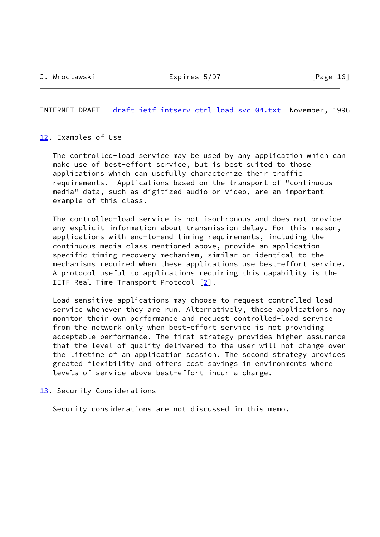INTERNET-DRAFT [draft-ietf-intserv-ctrl-load-svc-04.txt](https://datatracker.ietf.org/doc/pdf/draft-ietf-intserv-ctrl-load-svc-04.txt) November, 1996

## <span id="page-18-0"></span>[12.](#page-18-0) Examples of Use

 The controlled-load service may be used by any application which can make use of best-effort service, but is best suited to those applications which can usefully characterize their traffic requirements. Applications based on the transport of "continuous media" data, such as digitized audio or video, are an important example of this class.

 The controlled-load service is not isochronous and does not provide any explicit information about transmission delay. For this reason, applications with end-to-end timing requirements, including the continuous-media class mentioned above, provide an application specific timing recovery mechanism, similar or identical to the mechanisms required when these applications use best-effort service. A protocol useful to applications requiring this capability is the IETF Real-Time Transport Protocol [[2\]](#page-19-5).

 Load-sensitive applications may choose to request controlled-load service whenever they are run. Alternatively, these applications may monitor their own performance and request controlled-load service from the network only when best-effort service is not providing acceptable performance. The first strategy provides higher assurance that the level of quality delivered to the user will not change over the lifetime of an application session. The second strategy provides greated flexibility and offers cost savings in environments where levels of service above best-effort incur a charge.

<span id="page-18-1"></span>[13.](#page-18-1) Security Considerations

Security considerations are not discussed in this memo.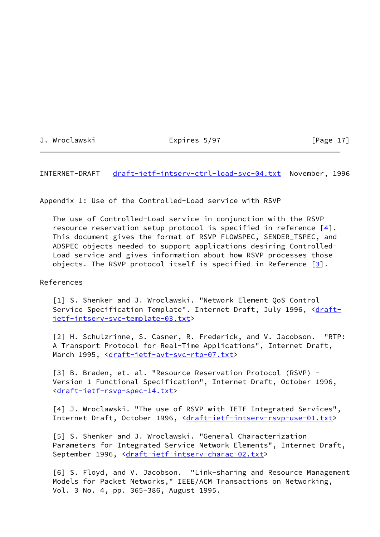| J. | Wroclawski |  |
|----|------------|--|

Expires 5/97 [Page 17]

INTERNET-DRAFT [draft-ietf-intserv-ctrl-load-svc-04.txt](https://datatracker.ietf.org/doc/pdf/draft-ietf-intserv-ctrl-load-svc-04.txt) November, 1996

Appendix 1: Use of the Controlled-Load service with RSVP

 The use of Controlled-Load service in conjunction with the RSVP resource reservation setup protocol is specified in reference  $[4]$  $[4]$ . This document gives the format of RSVP FLOWSPEC, SENDER\_TSPEC, and ADSPEC objects needed to support applications desiring Controlled- Load service and gives information about how RSVP processes those objects. The RSVP protocol itself is specified in Reference  $[3]$  $[3]$ .

References

<span id="page-19-0"></span> [1] S. Shenker and J. Wroclawski. "Network Element QoS Control Service Specification Template". Internet Draft, July 1996, [<draft](https://datatracker.ietf.org/doc/pdf/draft-ietf-intserv-svc-template-03.txt) [ietf-intserv-svc-template-03.txt](https://datatracker.ietf.org/doc/pdf/draft-ietf-intserv-svc-template-03.txt)>

<span id="page-19-5"></span> [2] H. Schulzrinne, S. Casner, R. Frederick, and V. Jacobson. "RTP: A Transport Protocol for Real-Time Applications", Internet Draft, March 1995, [<draft-ietf-avt-svc-rtp-07.txt](https://datatracker.ietf.org/doc/pdf/draft-ietf-avt-svc-rtp-07.txt)>

<span id="page-19-3"></span> [3] B. Braden, et. al. "Resource Reservation Protocol (RSVP) - Version 1 Functional Specification", Internet Draft, October 1996, [<draft-ietf-rsvp-spec-14.txt](https://datatracker.ietf.org/doc/pdf/draft-ietf-rsvp-spec-14.txt)>

<span id="page-19-2"></span>[4] J. Wroclawski. "The use of RSVP with IETF Integrated Services", Internet Draft, October 1996, <[draft-ietf-intserv-rsvp-use-01.txt>](https://datatracker.ietf.org/doc/pdf/draft-ietf-intserv-rsvp-use-01.txt)

<span id="page-19-1"></span> [5] S. Shenker and J. Wroclawski. "General Characterization Parameters for Integrated Service Network Elements", Internet Draft, September 1996, [<draft-ietf-intserv-charac-02.txt](https://datatracker.ietf.org/doc/pdf/draft-ietf-intserv-charac-02.txt)>

<span id="page-19-4"></span> [6] S. Floyd, and V. Jacobson. "Link-sharing and Resource Management Models for Packet Networks," IEEE/ACM Transactions on Networking, Vol. 3 No. 4, pp. 365-386, August 1995.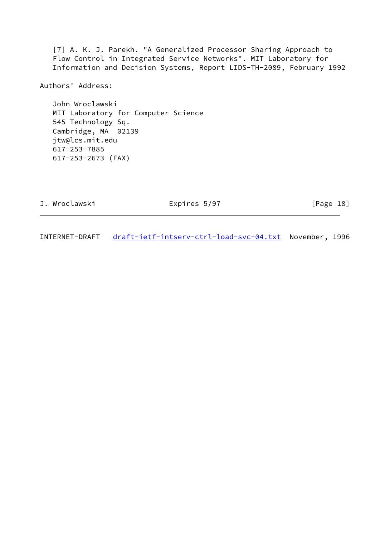<span id="page-20-0"></span> [7] A. K. J. Parekh. "A Generalized Processor Sharing Approach to Flow Control in Integrated Service Networks". MIT Laboratory for Information and Decision Systems, Report LIDS-TH-2089, February 1992

Authors' Address:

 John Wroclawski MIT Laboratory for Computer Science 545 Technology Sq. Cambridge, MA 02139 jtw@lcs.mit.edu 617-253-7885 617-253-2673 (FAX)

| J. Wroclawski | Expires 5/97 | [Page 18] |  |
|---------------|--------------|-----------|--|
|               |              |           |  |

INTERNET-DRAFT [draft-ietf-intserv-ctrl-load-svc-04.txt](https://datatracker.ietf.org/doc/pdf/draft-ietf-intserv-ctrl-load-svc-04.txt) November, 1996